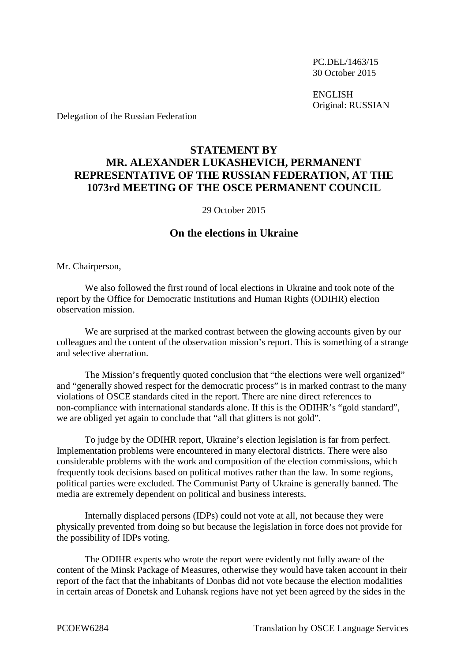PC.DEL/1463/15 30 October 2015

ENGLISH Original: RUSSIAN

Delegation of the Russian Federation

## **STATEMENT BY MR. ALEXANDER LUKASHEVICH, PERMANENT REPRESENTATIVE OF THE RUSSIAN FEDERATION, AT THE 1073rd MEETING OF THE OSCE PERMANENT COUNCIL**

29 October 2015

## **On the elections in Ukraine**

Mr. Chairperson,

We also followed the first round of local elections in Ukraine and took note of the report by the Office for Democratic Institutions and Human Rights (ODIHR) election observation mission.

We are surprised at the marked contrast between the glowing accounts given by our colleagues and the content of the observation mission's report. This is something of a strange and selective aberration.

The Mission's frequently quoted conclusion that "the elections were well organized" and "generally showed respect for the democratic process" is in marked contrast to the many violations of OSCE standards cited in the report. There are nine direct references to non-compliance with international standards alone. If this is the ODIHR's "gold standard", we are obliged yet again to conclude that "all that glitters is not gold".

To judge by the ODIHR report, Ukraine's election legislation is far from perfect. Implementation problems were encountered in many electoral districts. There were also considerable problems with the work and composition of the election commissions, which frequently took decisions based on political motives rather than the law. In some regions, political parties were excluded. The Communist Party of Ukraine is generally banned. The media are extremely dependent on political and business interests.

Internally displaced persons (IDPs) could not vote at all, not because they were physically prevented from doing so but because the legislation in force does not provide for the possibility of IDPs voting.

The ODIHR experts who wrote the report were evidently not fully aware of the content of the Minsk Package of Measures, otherwise they would have taken account in their report of the fact that the inhabitants of Donbas did not vote because the election modalities in certain areas of Donetsk and Luhansk regions have not yet been agreed by the sides in the